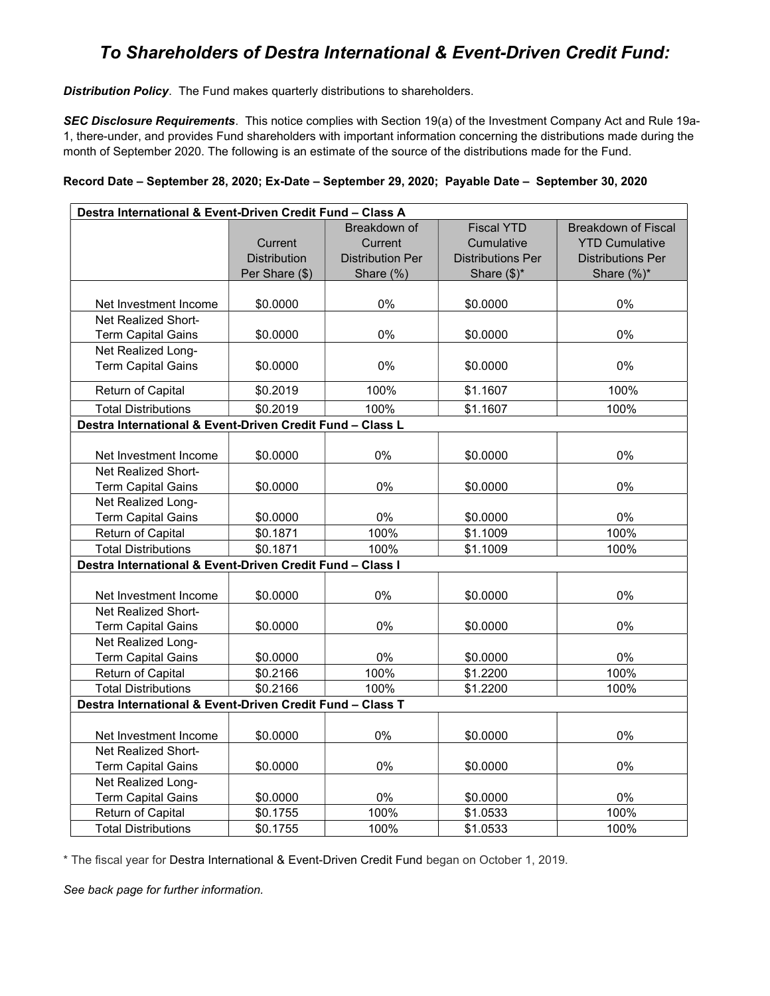## To Shareholders of Destra International & Event-Driven Credit Fund:

**Distribution Policy**. The Fund makes quarterly distributions to shareholders.

SEC Disclosure Requirements. This notice complies with Section 19(a) of the Investment Company Act and Rule 19a-1, there-under, and provides Fund shareholders with important information concerning the distributions made during the month of September 2020. The following is an estimate of the source of the distributions made for the Fund.

|  | Record Date – September 28, 2020; Ex-Date – September 29, 2020; Payable Date – September 30, 2020 |  |
|--|---------------------------------------------------------------------------------------------------|--|
|  |                                                                                                   |  |

| Destra International & Event-Driven Credit Fund - Class A |                     |                         |                          |                            |  |  |  |  |
|-----------------------------------------------------------|---------------------|-------------------------|--------------------------|----------------------------|--|--|--|--|
|                                                           |                     | Breakdown of            | <b>Fiscal YTD</b>        | <b>Breakdown of Fiscal</b> |  |  |  |  |
|                                                           | Current             | Current                 | Cumulative               | <b>YTD Cumulative</b>      |  |  |  |  |
|                                                           | <b>Distribution</b> | <b>Distribution Per</b> | <b>Distributions Per</b> | Distributions Per          |  |  |  |  |
|                                                           | Per Share (\$)      | Share (%)               | Share $(\$)^*$           | Share $(\%)^*$             |  |  |  |  |
|                                                           |                     |                         |                          |                            |  |  |  |  |
| Net Investment Income                                     | \$0.0000            | 0%                      | \$0.0000                 | 0%                         |  |  |  |  |
| Net Realized Short-                                       |                     |                         |                          |                            |  |  |  |  |
| <b>Term Capital Gains</b>                                 | \$0.0000            | 0%                      | \$0.0000                 | $0\%$                      |  |  |  |  |
| Net Realized Long-                                        |                     |                         |                          |                            |  |  |  |  |
| <b>Term Capital Gains</b>                                 | \$0.0000            | 0%                      | \$0.0000                 | 0%                         |  |  |  |  |
| Return of Capital                                         | \$0.2019            | 100%                    | \$1.1607                 | 100%                       |  |  |  |  |
| <b>Total Distributions</b>                                | \$0.2019            | 100%                    | \$1.1607                 | 100%                       |  |  |  |  |
| Destra International & Event-Driven Credit Fund - Class L |                     |                         |                          |                            |  |  |  |  |
|                                                           |                     |                         |                          |                            |  |  |  |  |
| Net Investment Income                                     | \$0.0000            | 0%                      | \$0.0000                 | 0%                         |  |  |  |  |
| <b>Net Realized Short-</b>                                |                     |                         |                          |                            |  |  |  |  |
| <b>Term Capital Gains</b>                                 | \$0.0000            | 0%                      | \$0.0000                 | $0\%$                      |  |  |  |  |
| Net Realized Long-                                        |                     |                         |                          |                            |  |  |  |  |
| <b>Term Capital Gains</b>                                 | \$0.0000            | $0\%$                   | \$0.0000                 | 0%                         |  |  |  |  |
| Return of Capital                                         | \$0.1871            | 100%                    | \$1.1009                 | 100%                       |  |  |  |  |
| <b>Total Distributions</b>                                | \$0.1871            | 100%                    | \$1.1009                 | 100%                       |  |  |  |  |
| Destra International & Event-Driven Credit Fund - Class I |                     |                         |                          |                            |  |  |  |  |
|                                                           |                     |                         |                          |                            |  |  |  |  |
| Net Investment Income                                     | \$0.0000            | 0%                      | \$0.0000                 | 0%                         |  |  |  |  |
| Net Realized Short-                                       |                     |                         |                          |                            |  |  |  |  |
| <b>Term Capital Gains</b>                                 | \$0.0000            | 0%                      | \$0.0000                 | 0%                         |  |  |  |  |
| Net Realized Long-                                        |                     |                         |                          |                            |  |  |  |  |
| <b>Term Capital Gains</b>                                 | \$0.0000            | $0\%$                   | \$0.0000                 | $0\%$                      |  |  |  |  |
| Return of Capital                                         | \$0.2166            | 100%                    | \$1.2200                 | 100%                       |  |  |  |  |
| <b>Total Distributions</b>                                | \$0.2166            | 100%                    | \$1.2200                 | 100%                       |  |  |  |  |
| Destra International & Event-Driven Credit Fund - Class T |                     |                         |                          |                            |  |  |  |  |
|                                                           |                     |                         |                          |                            |  |  |  |  |
| Net Investment Income                                     | \$0.0000            | 0%                      | \$0.0000                 | 0%                         |  |  |  |  |
| Net Realized Short-                                       |                     |                         |                          |                            |  |  |  |  |
| <b>Term Capital Gains</b>                                 | \$0.0000            | 0%                      | \$0.0000                 | 0%                         |  |  |  |  |
| Net Realized Long-                                        |                     |                         |                          |                            |  |  |  |  |
| <b>Term Capital Gains</b>                                 | \$0.0000            | $0\%$                   | \$0.0000                 | $0\%$                      |  |  |  |  |
| Return of Capital                                         | \$0.1755            | 100%                    | \$1.0533                 | 100%                       |  |  |  |  |
| <b>Total Distributions</b>                                | \$0.1755            | 100%                    | \$1.0533                 | 100%                       |  |  |  |  |

\* The fiscal year for Destra International & Event-Driven Credit Fund began on October 1, 2019.

See back page for further information.